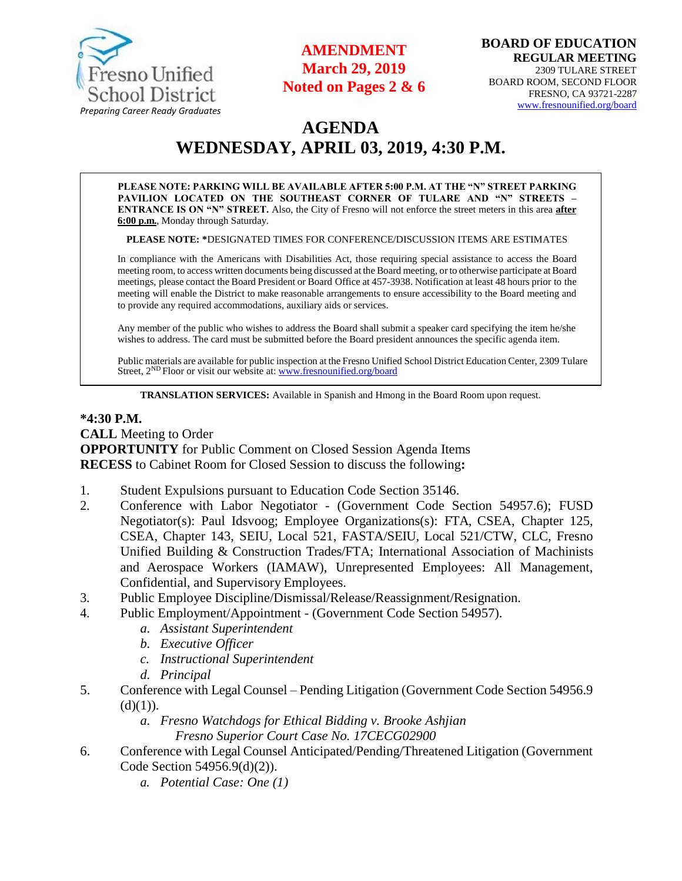

## **AMENDMENT March 29, 2019 Noted on Pages 2 & 6**

# **AGENDA WEDNESDAY, APRIL 03, 2019, 4:30 P.M.**

**PLEASE NOTE: PARKING WILL BE AVAILABLE AFTER 5:00 P.M. AT THE "N" STREET PARKING PAVILION LOCATED ON THE SOUTHEAST CORNER OF TULARE AND "N" STREETS – ENTRANCE IS ON "N" STREET.** Also, the City of Fresno will not enforce the street meters in this area **after 6:00 p.m.**, Monday through Saturday.

**PLEASE NOTE: \***DESIGNATED TIMES FOR CONFERENCE/DISCUSSION ITEMS ARE ESTIMATES

In compliance with the Americans with Disabilities Act, those requiring special assistance to access the Board meeting room, to access written documents being discussed at the Board meeting, or to otherwise participate at Board meetings, please contact the Board President or Board Office at 457-3938. Notification at least 48 hours prior to the meeting will enable the District to make reasonable arrangements to ensure accessibility to the Board meeting and to provide any required accommodations, auxiliary aids or services.

Any member of the public who wishes to address the Board shall submit a speaker card specifying the item he/she wishes to address. The card must be submitted before the Board president announces the specific agenda item.

Public materials are available for public inspection at the Fresno Unified School District Education Center, 2309 Tulare Street, 2<sup>ND</sup> Floor or visit our website at: [www.fresnounified.org/board](http://www.fresnounified.org/board)

**TRANSLATION SERVICES:** Available in Spanish and Hmong in the Board Room upon request.

#### **\*4:30 P.M.**

**CALL** Meeting to Order **OPPORTUNITY** for Public Comment on Closed Session Agenda Items **RECESS** to Cabinet Room for Closed Session to discuss the following**:**

- 1. Student Expulsions pursuant to Education Code Section 35146.
- 2. Conference with Labor Negotiator (Government Code Section 54957.6); FUSD Negotiator(s): Paul Idsvoog; Employee Organizations(s): FTA, CSEA, Chapter 125, CSEA, Chapter 143, SEIU, Local 521, FASTA/SEIU, Local 521/CTW, CLC, Fresno Unified Building & Construction Trades/FTA; International Association of Machinists and Aerospace Workers (IAMAW), Unrepresented Employees: All Management, Confidential, and Supervisory Employees.
- 3. Public Employee Discipline/Dismissal/Release/Reassignment/Resignation.
- 4. Public Employment/Appointment (Government Code Section 54957).
	- *a. Assistant Superintendent*
	- *b. Executive Officer*
	- *c. Instructional Superintendent*
	- *d. Principal*
- 5. Conference with Legal Counsel Pending Litigation (Government Code Section 54956.9  $(d)(1)).$ 
	- *a. Fresno Watchdogs for Ethical Bidding v. Brooke Ashjian*
		- *Fresno Superior Court Case No. 17CECG02900*
- 6. Conference with Legal Counsel Anticipated/Pending/Threatened Litigation (Government Code Section 54956.9(d)(2)).
	- *a. Potential Case: One (1)*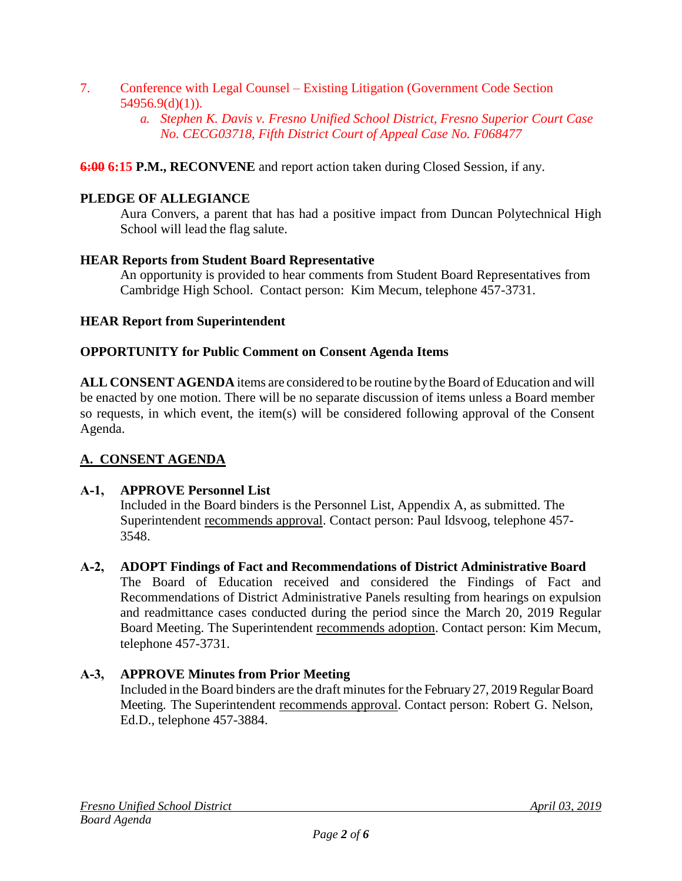- 7. Conference with Legal Counsel Existing Litigation (Government Code Section  $54956.9(d)(1)$ ).
	- *a. Stephen K. Davis v. Fresno Unified School District, Fresno Superior Court Case No. CECG03718, Fifth District Court of Appeal Case No. F068477*

**6:00 6:15 P.M., RECONVENE** and report action taken during Closed Session, if any.

## **PLEDGE OF ALLEGIANCE**

Aura Convers, a parent that has had a positive impact from Duncan Polytechnical High School will lead the flag salute.

#### **HEAR Reports from Student Board Representative**

An opportunity is provided to hear comments from Student Board Representatives from Cambridge High School. Contact person: Kim Mecum, telephone 457-3731.

#### **HEAR Report from Superintendent**

#### **OPPORTUNITY for Public Comment on Consent Agenda Items**

**ALL CONSENT AGENDA** items are considered to be routine bythe Board of Education and will be enacted by one motion. There will be no separate discussion of items unless a Board member so requests, in which event, the item(s) will be considered following approval of the Consent Agenda.

## **A. CONSENT AGENDA**

#### **A-1, APPROVE Personnel List**

Included in the Board binders is the Personnel List, Appendix A, as submitted. The Superintendent recommends approval. Contact person: Paul Idsvoog, telephone 457- 3548.

#### **A-2, ADOPT Findings of Fact and Recommendations of District Administrative Board** The Board of Education received and considered the Findings of Fact and Recommendations of District Administrative Panels resulting from hearings on expulsion and readmittance cases conducted during the period since the March 20, 2019 Regular Board Meeting. The Superintendent recommends adoption. Contact person: Kim Mecum, telephone 457-3731.

## **A-3, APPROVE Minutes from Prior Meeting**

Included in the Board binders are the draft minutes for the February 27, 2019 Regular Board Meeting. The Superintendent recommends approval. Contact person: Robert G. Nelson, Ed.D., telephone 457-3884.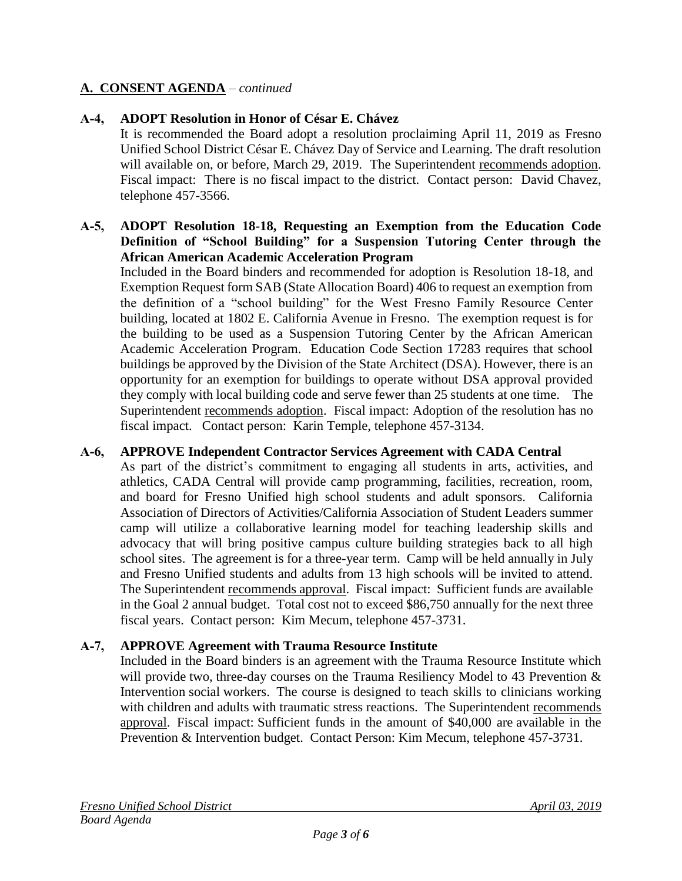## **A. CONSENT AGENDA** – *continued*

## **A-4, ADOPT Resolution in Honor of César E. Chávez**

It is recommended the Board adopt a resolution proclaiming April 11, 2019 as Fresno Unified School District César E. Chávez Day of Service and Learning. The draft resolution will available on, or before, March 29, 2019. The Superintendent recommends adoption. Fiscal impact: There is no fiscal impact to the district. Contact person: David Chavez, telephone 457-3566.

#### **A-5, ADOPT Resolution 18-18, Requesting an Exemption from the Education Code Definition of "School Building" for a Suspension Tutoring Center through the African American Academic Acceleration Program**

Included in the Board binders and recommended for adoption is Resolution 18-18, and Exemption Request form SAB (State Allocation Board) 406 to request an exemption from the definition of a "school building" for the West Fresno Family Resource Center building, located at 1802 E. California Avenue in Fresno. The exemption request is for the building to be used as a Suspension Tutoring Center by the African American Academic Acceleration Program. Education Code Section 17283 requires that school buildings be approved by the Division of the State Architect (DSA). However, there is an opportunity for an exemption for buildings to operate without DSA approval provided they comply with local building code and serve fewer than 25 students at one time. The Superintendent recommends adoption. Fiscal impact: Adoption of the resolution has no fiscal impact. Contact person: Karin Temple, telephone 457-3134.

#### **A-6, APPROVE Independent Contractor Services Agreement with CADA Central**

As part of the district's commitment to engaging all students in arts, activities, and athletics, CADA Central will provide camp programming, facilities, recreation, room, and board for Fresno Unified high school students and adult sponsors. California Association of Directors of Activities/California Association of Student Leaders summer camp will utilize a collaborative learning model for teaching leadership skills and advocacy that will bring positive campus culture building strategies back to all high school sites. The agreement is for a three-year term. Camp will be held annually in July and Fresno Unified students and adults from 13 high schools will be invited to attend. The Superintendent recommends approval. Fiscal impact: Sufficient funds are available in the Goal 2 annual budget. Total cost not to exceed \$86,750 annually for the next three fiscal years. Contact person: Kim Mecum, telephone 457-3731.

## **A-7, APPROVE Agreement with Trauma Resource Institute**

Included in the Board binders is an agreement with the Trauma Resource Institute which will provide two, three-day courses on the Trauma Resiliency Model to 43 Prevention & Intervention social workers. The course is designed to teach skills to clinicians working with children and adults with traumatic stress reactions. The Superintendent recommends approval. Fiscal impact: Sufficient funds in the amount of \$40,000 are available in the Prevention & Intervention budget. Contact Person: Kim Mecum, telephone 457-3731.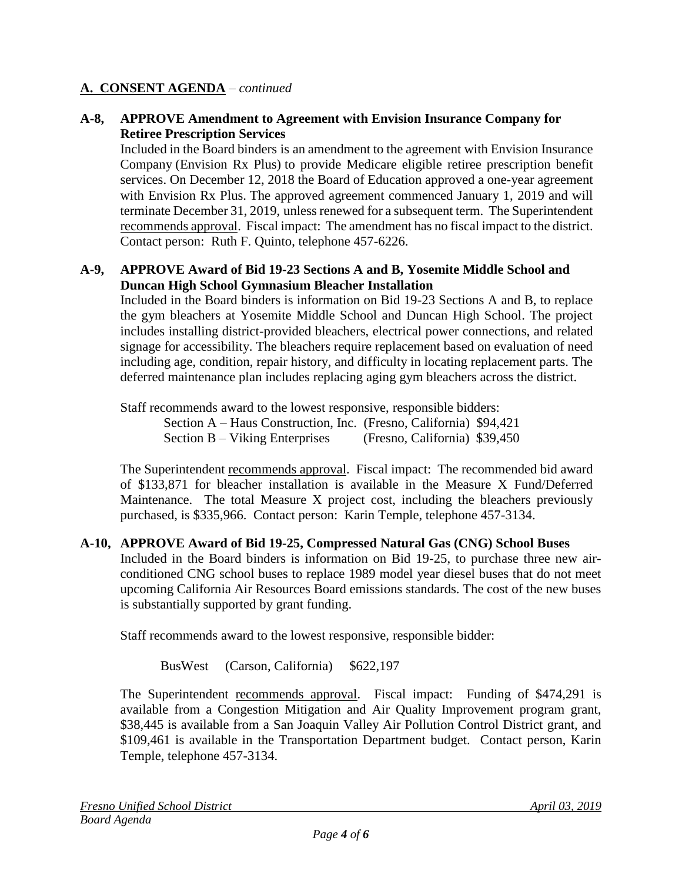## **A. CONSENT AGENDA** – *continued*

### **A-8, APPROVE Amendment to Agreement with Envision Insurance Company for Retiree Prescription Services**

Included in the Board binders is an amendment to the agreement with Envision Insurance Company (Envision Rx Plus) to provide Medicare eligible retiree prescription benefit services. On December 12, 2018 the Board of Education approved a one-year agreement with Envision Rx Plus. The approved agreement commenced January 1, 2019 and will terminate December 31, 2019, unless renewed for a subsequent term. The Superintendent recommends approval. Fiscal impact: The amendment has no fiscal impact to the district. Contact person: Ruth F. Quinto, telephone 457-6226.

#### **A-9, APPROVE Award of Bid 19-23 Sections A and B, Yosemite Middle School and Duncan High School Gymnasium Bleacher Installation**

Included in the Board binders is information on Bid 19-23 Sections A and B, to replace the gym bleachers at Yosemite Middle School and Duncan High School. The project includes installing district-provided bleachers, electrical power connections, and related signage for accessibility. The bleachers require replacement based on evaluation of need including age, condition, repair history, and difficulty in locating replacement parts. The deferred maintenance plan includes replacing aging gym bleachers across the district.

Staff recommends award to the lowest responsive, responsible bidders:

Section A – Haus Construction, Inc. (Fresno, California) \$94,421

Section B – Viking Enterprises (Fresno, California) \$39,450

The Superintendent recommends approval. Fiscal impact: The recommended bid award of \$133,871 for bleacher installation is available in the Measure X Fund/Deferred Maintenance. The total Measure X project cost, including the bleachers previously purchased, is \$335,966. Contact person: Karin Temple, telephone 457-3134.

#### **A-10, APPROVE Award of Bid 19-25, Compressed Natural Gas (CNG) School Buses**

Included in the Board binders is information on Bid 19-25, to purchase three new airconditioned CNG school buses to replace 1989 model year diesel buses that do not meet upcoming California Air Resources Board emissions standards. The cost of the new buses is substantially supported by grant funding.

Staff recommends award to the lowest responsive, responsible bidder:

BusWest (Carson, California) \$622,197

The Superintendent recommends approval. Fiscal impact: Funding of \$474,291 is available from a Congestion Mitigation and Air Quality Improvement program grant, \$38,445 is available from a San Joaquin Valley Air Pollution Control District grant, and \$109,461 is available in the Transportation Department budget. Contact person, Karin Temple, telephone 457-3134.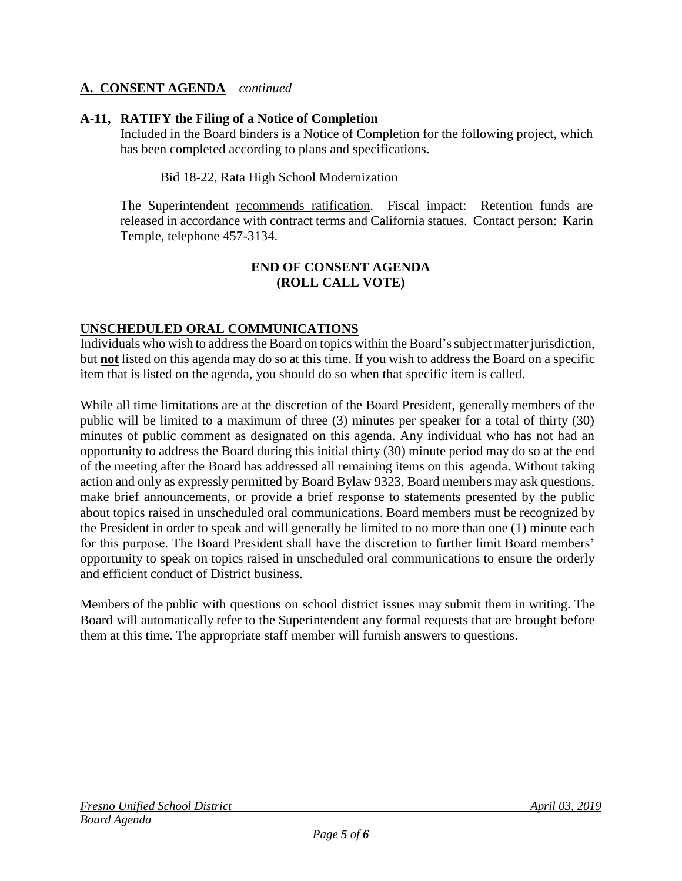## **A. CONSENT AGENDA** – *continued*

## **A-11, RATIFY the Filing of a Notice of Completion**

Included in the Board binders is a Notice of Completion for the following project, which has been completed according to plans and specifications.

Bid 18-22, Rata High School Modernization

The Superintendent recommends ratification. Fiscal impact: Retention funds are released in accordance with contract terms and California statues. Contact person: Karin Temple, telephone 457-3134.

#### **END OF CONSENT AGENDA (ROLL CALL VOTE)**

## **UNSCHEDULED ORAL COMMUNICATIONS**

Individuals who wish to address the Board on topics within the Board's subject matter jurisdiction, but **not** listed on this agenda may do so at this time. If you wish to address the Board on a specific item that is listed on the agenda, you should do so when that specific item is called.

While all time limitations are at the discretion of the Board President, generally members of the public will be limited to a maximum of three (3) minutes per speaker for a total of thirty (30) minutes of public comment as designated on this agenda. Any individual who has not had an opportunity to address the Board during this initial thirty (30) minute period may do so at the end of the meeting after the Board has addressed all remaining items on this agenda. Without taking action and only as expressly permitted by Board Bylaw 9323, Board members may ask questions, make brief announcements, or provide a brief response to statements presented by the public about topics raised in unscheduled oral communications. Board members must be recognized by the President in order to speak and will generally be limited to no more than one (1) minute each for this purpose. The Board President shall have the discretion to further limit Board members' opportunity to speak on topics raised in unscheduled oral communications to ensure the orderly and efficient conduct of District business.

Members of the public with questions on school district issues may submit them in writing. The Board will automatically refer to the Superintendent any formal requests that are brought before them at this time. The appropriate staff member will furnish answers to questions.